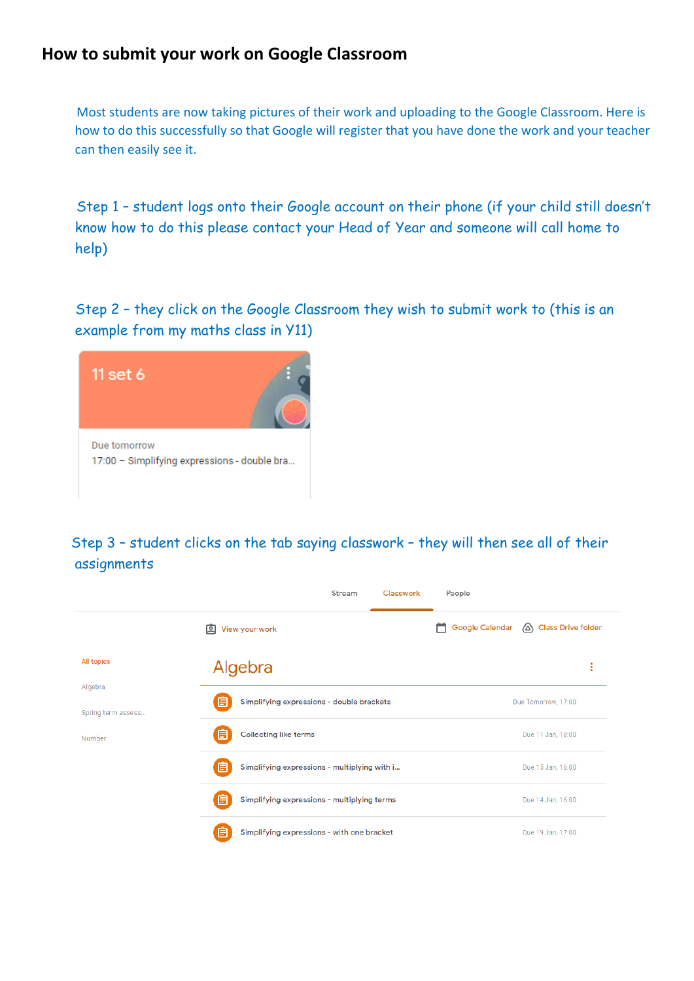## **How to submit your work on Google Classroom**

 Most students are now taking pictures of their work and uploading to the Google Classroom. Here is how to do this successfully so that Google will register that you have done the work and your teacher can then easily see it.

 Step 1 – student logs onto their Google account on their phone (if your child still doesn't know how to do this please contact your Head of Year and someone will call home to help)

 Step 2 – they click on the Google Classroom they wish to submit work to (this is an example from my maths class in Y11)



 Step 3 – student clicks on the tab saying classwork – they will then see all of their assignments

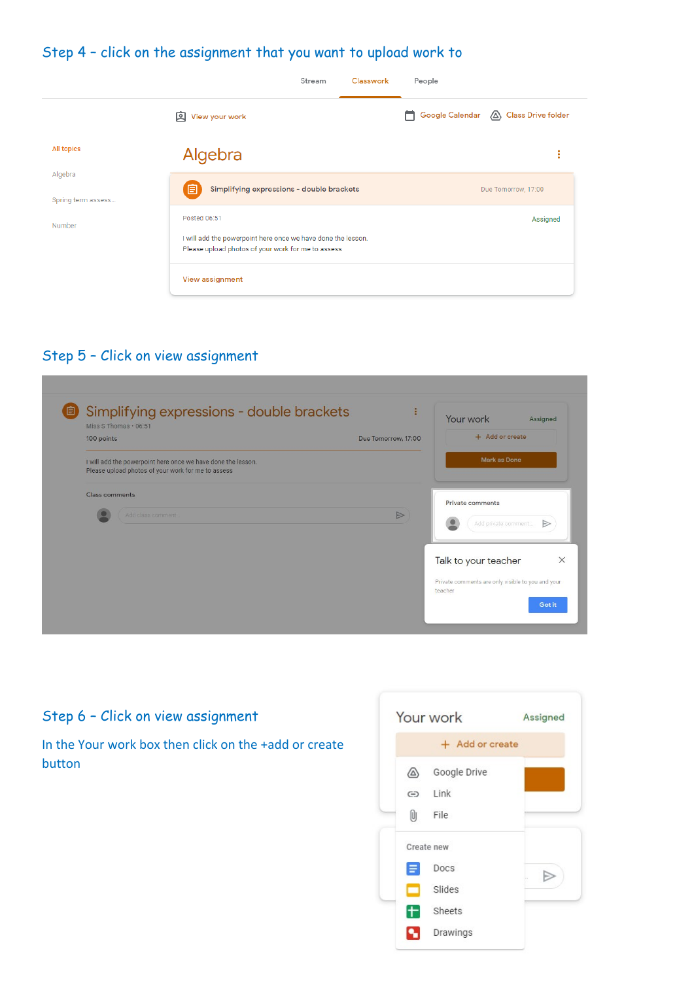## Step 4 – click on the assignment that you want to upload work to

|                               | Stream                                                                                                                             | Classwork | People |                                        |
|-------------------------------|------------------------------------------------------------------------------------------------------------------------------------|-----------|--------|----------------------------------------|
|                               | 回<br>View your work                                                                                                                |           |        | Google Calendar (A) Class Drive folder |
| All topics                    | Algebra                                                                                                                            |           |        | ٠<br>٠<br>٠                            |
| Algebra<br>Spring term assess | 自<br>Simplifying expressions - double brackets                                                                                     |           |        | Due Tomorrow, 17:00                    |
| Number                        | Posted 06:51<br>I will add the powerpoint here once we have done the lesson.<br>Please upload photos of your work for me to assess |           |        | Assigned                               |
|                               | View assignment                                                                                                                    |           |        |                                        |

## Step 5 – Click on view assignment

| Simplifying expressions - double brackets<br>(自<br>Miss S Thomas . 06:51                                           | ÷                   | Your work<br>Assigned                                        |
|--------------------------------------------------------------------------------------------------------------------|---------------------|--------------------------------------------------------------|
| 100 points                                                                                                         | Due Tomorrow, 17:00 | + Add or create                                              |
| I will add the powerpoint here once we have done the lesson.<br>Please upload photos of your work for me to assess |                     | Mark as Done                                                 |
| Class comments                                                                                                     |                     | Private comments                                             |
| Add class comment.                                                                                                 | $\triangleright$    | Add private comment<br>Ð                                     |
|                                                                                                                    |                     | Talk to your teacher                                         |
|                                                                                                                    |                     | Private comments are only visible to you and your<br>teacher |

## Step 6 – Click on view assignment

In the Your work box then click on the +add or create button

|       | Your work       | Assigned |
|-------|-----------------|----------|
|       | + Add or create |          |
| ∆     | Google Drive    |          |
| ⊖     | Link            |          |
| Û.    | File            |          |
|       | Create new      |          |
| Е     | Docs            |          |
| a C   | Slides          |          |
| $\pm$ | Sheets          |          |
|       | Drawings        |          |
|       |                 |          |